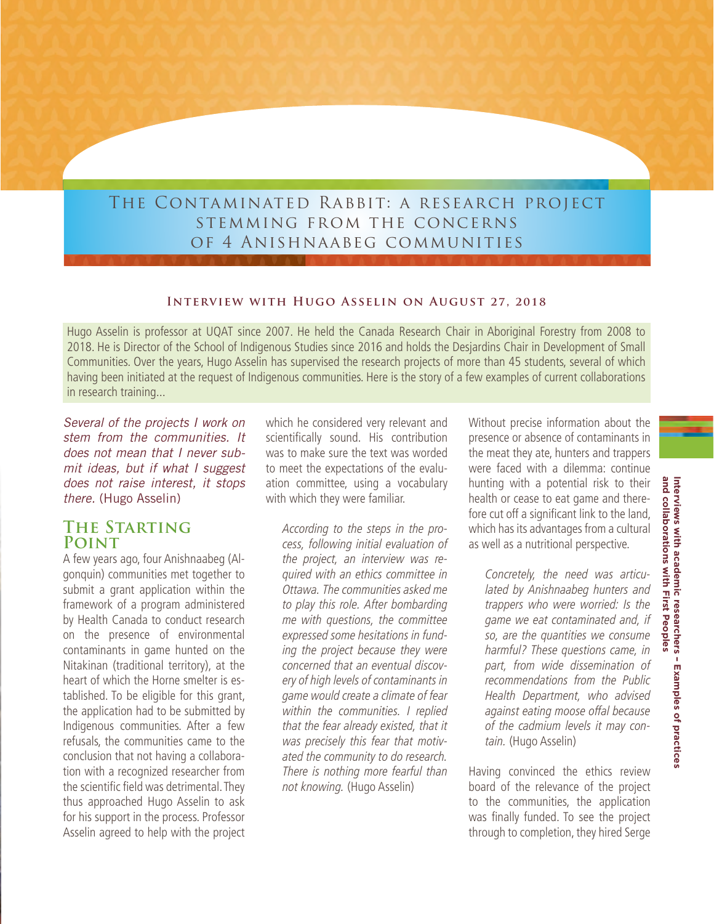# The Contaminated Rabbit: a research project stemming from the concerns of 4 Anishnaabeg communities

#### **Interview with Hugo Asselin on August 27, 2018**

Hugo Asselin is professor at UQAT since 2007. He held the Canada Research Chair in Aboriginal Forestry from 2008 to 2018. He is Director of the School of Indigenous Studies since 2016 and holds the Desjardins Chair in Development of Small Communities. Over the years, Hugo Asselin has supervised the research projects of more than 45 students, several of which having been initiated at the request of Indigenous communities. Here is the story of a few examples of current collaborations in research training...

*Several of the projects I work on stem from the communities. It does not mean that I never submit ideas, but if what I suggest does not raise interest, it stops there.* (Hugo Asselin)

## **The Starting Point**

A few years ago, four Anishnaabeg (Algonquin) communities met together to submit a grant application within the framework of a program administered by Health Canada to conduct research on the presence of environmental contaminants in game hunted on the Nitakinan (traditional territory), at the heart of which the Horne smelter is established. To be eligible for this grant, the application had to be submitted by Indigenous communities. After a few refusals, the communities came to the conclusion that not having a collaboration with a recognized researcher from the scientific field was detrimental. They thus approached Hugo Asselin to ask for his support in the process. Professor Asselin agreed to help with the project

which he considered very relevant and scientifically sound. His contribution was to make sure the text was worded to meet the expectations of the evaluation committee, using a vocabulary with which they were familiar.

According to the steps in the process, following initial evaluation of the project, an interview was required with an ethics committee in Ottawa. The communities asked me to play this role. After bombarding me with questions, the committee expressed some hesitations in funding the project because they were concerned that an eventual discovery of high levels of contaminants in game would create a climate of fear within the communities. I replied that the fear already existed, that it was precisely this fear that motivated the community to do research. There is nothing more fearful than not knowing. (Hugo Asselin)

Without precise information about the presence or absence of contaminants in the meat they ate, hunters and trappers were faced with a dilemma: continue hunting with a potential risk to their health or cease to eat game and therefore cut off a significant link to the land, which has its advantages from a cultural as well as a nutritional perspective.

Concretely, the need was articulated by Anishnaabeg hunters and trappers who were worried: Is the game we eat contaminated and, if so, are the quantities we consume harmful? These questions came, in part, from wide dissemination of recommendations from the Public Health Department, who advised against eating moose offal because of the cadmium levels it may contain. (Hugo Asselin)

Having convinced the ethics review board of the relevance of the project to the communities, the application was finally funded. To see the project through to completion, they hired Serge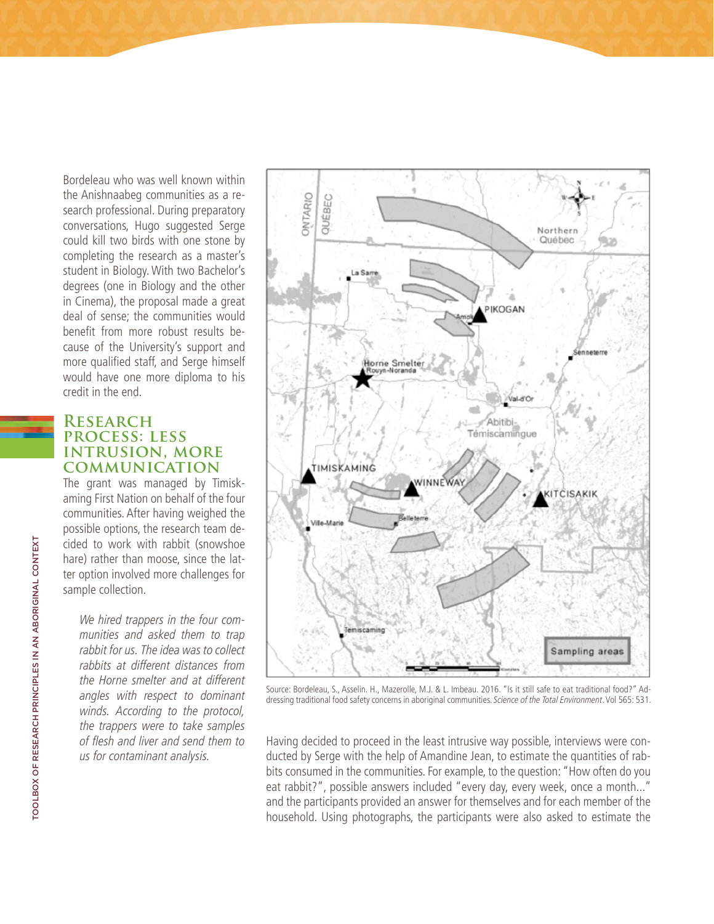Bordeleau who was well known within the Anishnaabeg communities as a research professional. During preparatory conversations, Hugo suggested Serge could kill two birds with one stone by completing the research as a master's student in Biology. With two Bachelor's degrees (one in Biology and the other in Cinema), the proposal made a great deal of sense; the communities would benefit from more robust results because of the University's support and more qualified staff, and Serge himself would have one more diploma to his credit in the end.

### **Research process: less intrusion, more communication**

The grant was managed by Timiskaming First Nation on behalf of the four communities. After having weighed the possible options, the research team decided to work with rabbit (snowshoe hare) rather than moose, since the latter option involved more challenges for sample collection.

We hired trappers in the four communities and asked them to trap rabbit for us. The idea was to collect rabbits at different distances from the Horne smelter and at different angles with respect to dominant winds. According to the protocol, the trappers were to take samples of flesh and liver and send them to us for contaminant analysis.



Source: Bordeleau, S., Asselin. H., Mazerolle, M.J. & L. Imbeau. 2016. "Is it still safe to eat traditional food?" Addressing traditional food safety concerns in aboriginal communities. Science of the Total Environment. Vol 565: 531.

Having decided to proceed in the least intrusive way possible, interviews were conducted by Serge with the help of Amandine Jean, to estimate the quantities of rabbits consumed in the communities. For example, to the question: "How often do you eat rabbit?", possible answers included "every day, every week, once a month..." and the participants provided an answer for themselves and for each member of the household. Using photographs, the participants were also asked to estimate the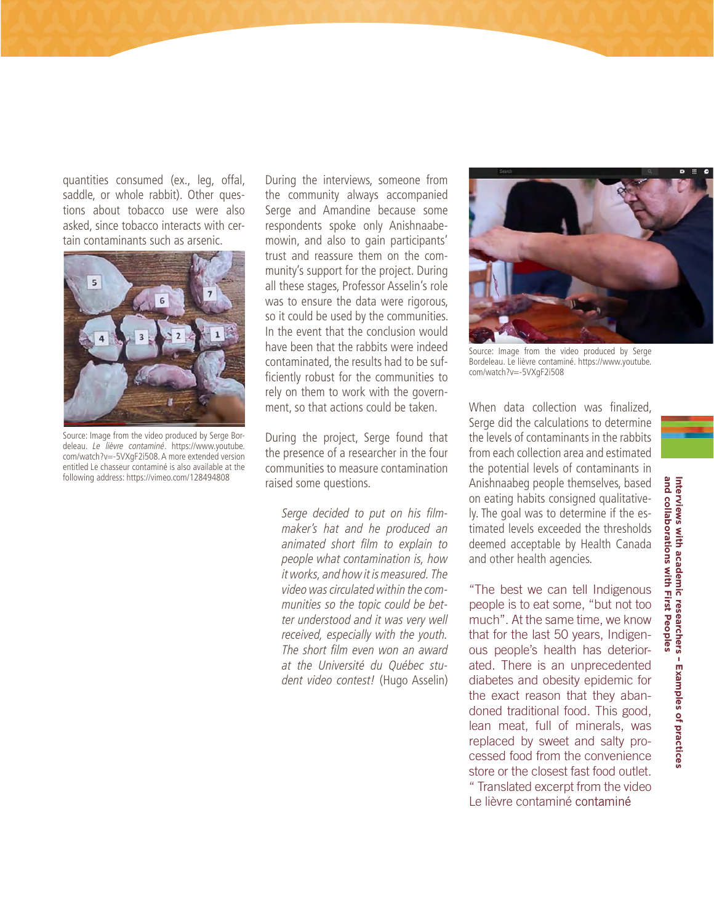quantities consumed (ex., leg, offal, saddle, or whole rabbit). Other questions about tobacco use were also asked, since tobacco interacts with certain contaminants such as arsenic.



Source: Image from the video produced by Serge Bordeleau. Le lièvre contaminé. [https://www.youtube.](https://www.youtube.com/watch?v=-5VXgF2i508) [com/watch?v=-5VXgF2i508.](https://www.youtube.com/watch?v=-5VXgF2i508) A more extended version entitled Le chasseur contaminé is also available at the following address: <https://vimeo.com/128494808>

During the interviews, someone from the community always accompanied Serge and Amandine because some respondents spoke only Anishnaabemowin, and also to gain participants' trust and reassure them on the community's support for the project. During all these stages, Professor Asselin's role was to ensure the data were rigorous, so it could be used by the communities. In the event that the conclusion would have been that the rabbits were indeed contaminated, the results had to be sufficiently robust for the communities to rely on them to work with the government, so that actions could be taken.

During the project, Serge found that the presence of a researcher in the four communities to measure contamination raised some questions.

Serge decided to put on his filmmaker's hat and he produced an animated short film to explain to people what contamination is, how it works, and how it is measured. The video was circulated within the communities so the topic could be better understood and it was very well received, especially with the youth. The short film even won an award at the Université du Québec student video contest! (Hugo Asselin)



Source: Image from the video produced by Serge Bordeleau. Le lièvre contaminé. [https://www.youtube.](https://www.youtube.com/watch?v=-5VXgF2i508) [com/watch?v=-5VXgF2i508](https://www.youtube.com/watch?v=-5VXgF2i508)

When data collection was finalized, Serge did the calculations to determine the levels of contaminants in the rabbits from each collection area and estimated the potential levels of contaminants in Anishnaabeg people themselves, based on eating habits consigned qualitatively. The goal was to determine if the estimated levels exceeded the thresholds deemed acceptable by Health Canada and other health agencies.

"The best we can tell Indigenous people is to eat some, "but not too much". At the same time, we know that for the last 50 years, Indigenous people's health has deteriorated. There is an unprecedented diabetes and obesity epidemic for the exact reason that they abandoned traditional food. This good, lean meat, full of minerals, was replaced by sweet and salty processed food from the convenience store or the closest fast food outlet. " Translated excerpt from the video Le lièvre contaminé contaminé